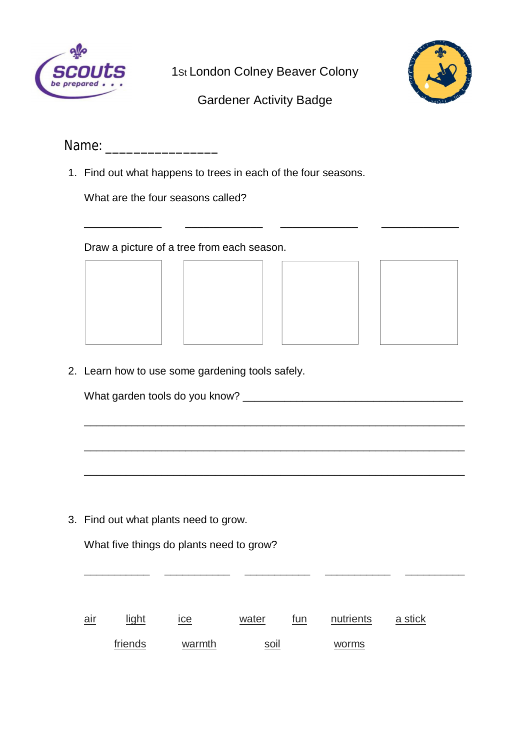

1st London Colney Beaver Colony



## Gardener Activity Badge

\_\_\_\_\_\_\_\_\_\_\_\_\_ \_\_\_\_\_\_\_\_\_\_\_\_\_ \_\_\_\_\_\_\_\_\_\_\_\_\_ \_\_\_\_\_\_\_\_\_\_\_\_\_

\_\_\_\_\_\_\_\_\_\_\_\_\_\_\_\_\_\_\_\_\_\_\_\_\_\_\_\_\_\_\_\_\_\_\_\_\_\_\_\_\_\_\_\_\_\_\_\_\_\_\_\_\_\_\_\_\_\_\_\_\_\_\_\_

\_\_\_\_\_\_\_\_\_\_\_\_\_\_\_\_\_\_\_\_\_\_\_\_\_\_\_\_\_\_\_\_\_\_\_\_\_\_\_\_\_\_\_\_\_\_\_\_\_\_\_\_\_\_\_\_\_\_\_\_\_\_\_\_

\_\_\_\_\_\_\_\_\_\_\_\_\_\_\_\_\_\_\_\_\_\_\_\_\_\_\_\_\_\_\_\_\_\_\_\_\_\_\_\_\_\_\_\_\_\_\_\_\_\_\_\_\_\_\_\_\_\_\_\_\_\_\_\_

\_\_\_\_\_\_\_\_\_\_\_ \_\_\_\_\_\_\_\_\_\_\_ \_\_\_\_\_\_\_\_\_\_\_ \_\_\_\_\_\_\_\_\_\_\_ \_\_\_\_\_\_\_\_\_\_

| Name: |  |  |  |
|-------|--|--|--|
|-------|--|--|--|

1. Find out what happens to trees in each of the four seasons.

What are the four seasons called?

Draw a picture of a tree from each season.







2. Learn how to use some gardening tools safely.

What garden tools do you know? \_\_\_\_\_\_\_\_\_\_\_\_\_\_\_\_\_\_\_\_\_\_\_\_\_\_\_\_\_\_\_\_\_\_\_\_\_

3. Find out what plants need to grow.

What five things do plants need to grow?

air light ice water fun nutrients a stick friends warmth soil worms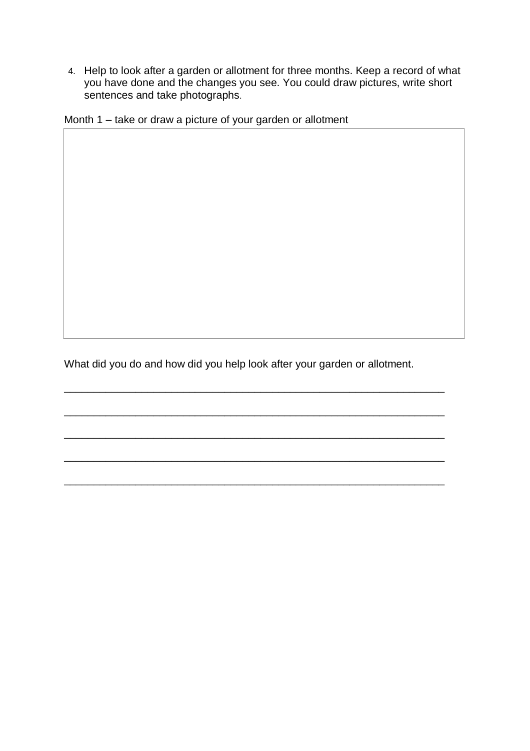4. Help to look after a garden or allotment for three months. Keep a record of what you have done and the changes you see. You could draw pictures, write short sentences and take photographs.

Month 1 – take or draw a picture of your garden or allotment

What did you do and how did you help look after your garden or allotment.

\_\_\_\_\_\_\_\_\_\_\_\_\_\_\_\_\_\_\_\_\_\_\_\_\_\_\_\_\_\_\_\_\_\_\_\_\_\_\_\_\_\_\_\_\_\_\_\_\_\_\_\_\_\_\_\_\_\_\_\_\_\_\_\_

\_\_\_\_\_\_\_\_\_\_\_\_\_\_\_\_\_\_\_\_\_\_\_\_\_\_\_\_\_\_\_\_\_\_\_\_\_\_\_\_\_\_\_\_\_\_\_\_\_\_\_\_\_\_\_\_\_\_\_\_\_\_\_\_

\_\_\_\_\_\_\_\_\_\_\_\_\_\_\_\_\_\_\_\_\_\_\_\_\_\_\_\_\_\_\_\_\_\_\_\_\_\_\_\_\_\_\_\_\_\_\_\_\_\_\_\_\_\_\_\_\_\_\_\_\_\_\_\_

\_\_\_\_\_\_\_\_\_\_\_\_\_\_\_\_\_\_\_\_\_\_\_\_\_\_\_\_\_\_\_\_\_\_\_\_\_\_\_\_\_\_\_\_\_\_\_\_\_\_\_\_\_\_\_\_\_\_\_\_\_\_\_\_

\_\_\_\_\_\_\_\_\_\_\_\_\_\_\_\_\_\_\_\_\_\_\_\_\_\_\_\_\_\_\_\_\_\_\_\_\_\_\_\_\_\_\_\_\_\_\_\_\_\_\_\_\_\_\_\_\_\_\_\_\_\_\_\_